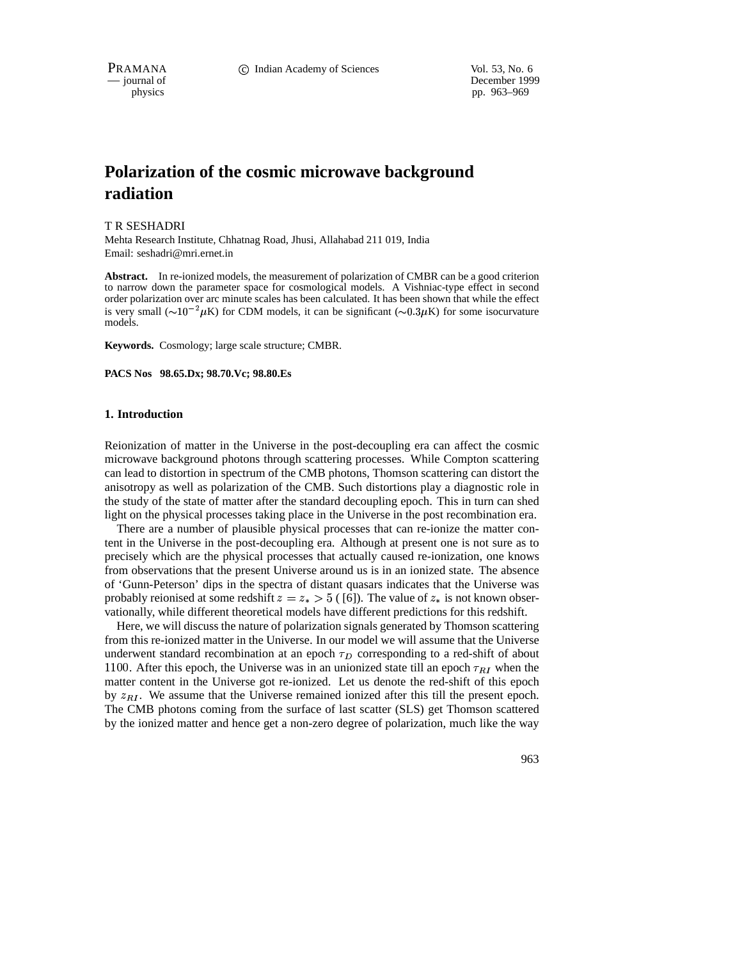PRAMANA **C** Indian Academy of Sciences Vol. 53, No. 6

— journal of December 1999 physics pp. 963–969

# **Polarization of the cosmic microwave background radiation**

T R SESHADRI

Mehta Research Institute, Chhatnag Road, Jhusi, Allahabad 211 019, India Email: seshadri@mri.ernet.in

**Abstract.** In re-ionized models, the measurement of polarization of CMBR can be a good criterion to narrow down the parameter space for cosmological models. A Vishniac-type effect in second order polarization over arc minute scales has been calculated. It has been shown that while the effect is very small  $(\sim 10^{-2} \mu K)$  for CDM models, it can be significant  $(\sim 0.3 \mu K)$  for some isocurvature models.

**Keywords.** Cosmology; large scale structure; CMBR.

**PACS Nos 98.65.Dx; 98.70.Vc; 98.80.Es**

#### **1. Introduction**

Reionization of matter in the Universe in the post-decoupling era can affect the cosmic microwave background photons through scattering processes. While Compton scattering can lead to distortion in spectrum of the CMB photons, Thomson scattering can distort the anisotropy as well as polarization of the CMB. Such distortions play a diagnostic role in the study of the state of matter after the standard decoupling epoch. This in turn can shed light on the physical processes taking place in the Universe in the post recombination era.

There are a number of plausible physical processes that can re-ionize the matter content in the Universe in the post-decoupling era. Although at present one is not sure as to precisely which are the physical processes that actually caused re-ionization, one knows from observations that the present Universe around us is in an ionized state. The absence of 'Gunn-Peterson' dips in the spectra of distant quasars indicates that the Universe was probably reionised at some redshift  $z = z_* > 5$  ([6]). The value of  $z_*$  is not known observationally, while different theoretical models have different predictions for this redshift.

Here, we will discuss the nature of polarization signals generated by Thomson scattering from this re-ionized matter in the Universe. In our model we will assume that the Universe underwent standard recombination at an epoch  $\tau_D$  corresponding to a red-shift of about 1100. After this epoch, the Universe was in an unionized state till an epoch  $\tau_{RI}$  when the matter content in the Universe got re-ionized. Let us denote the red-shift of this epoch by  $z_{\text{RI}}$ . We assume that the Universe remained ionized after this till the present epoch. The CMB photons coming from the surface of last scatter (SLS) get Thomson scattered by the ionized matter and hence get a non-zero degree of polarization, much like the way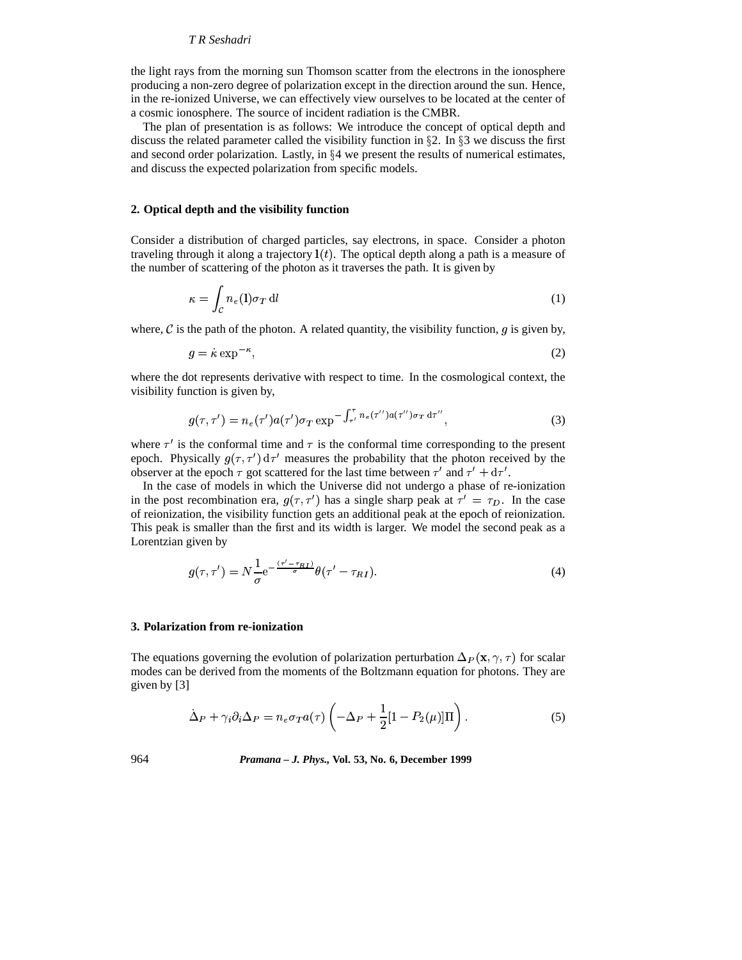## *T R Seshadri*

the light rays from the morning sun Thomson scatter from the electrons in the ionosphere producing a non-zero degree of polarization except in the direction around the sun. Hence, in the re-ionized Universe, we can effectively view ourselves to be located at the center of a cosmic ionosphere. The source of incident radiation is the CMBR.

The plan of presentation is as follows: We introduce the concept of optical depth and discuss the related parameter called the visibility function in  $\S$ 2. In  $\S$ 3 we discuss the first and second order polarization. Lastly, in  $\S 4$  we present the results of numerical estimates, and discuss the expected polarization from specific models.

## **2. Optical depth and the visibility function**

Consider a distribution of charged particles, say electrons, in space. Consider a photon traveling through it along a trajectory  $\mathbf{l}(t)$ . The optical depth along a path is a measure of the number of scattering of the photon as it traverses the path. It is given by

$$
\kappa = \int_{\mathcal{C}} n_e(\mathbf{l}) \sigma_T \, \mathrm{d}l \tag{1}
$$

where,  $\mathcal C$  is the path of the photon. A related quantity, the visibility function, q is given by,

$$
g = \dot{\kappa} \exp^{-\kappa},\tag{2}
$$

where the dot represents derivative with respect to time. In the cosmological context, the visibility function is given by,

$$
g(\tau,\tau') = n_e(\tau')a(\tau')\sigma_T \exp^{-\int_{\tau'}^{\tau} n_e(\tau'')a(\tau'')\sigma_T d\tau''}, \qquad (3)
$$

where  $\tau'$  is the conformal time and  $\tau$  is the conformal time corresponding to the present epoch. Physically  $q(\tau, \tau') d\tau'$  measures the probability that the photon received by the observer at the epoch  $\tau$  got scattered for the last time between  $\tau'$  and  $\tau' + d\tau'$ .

In the case of models in which the Universe did not undergo a phase of re-ionization in the post recombination era,  $q(\tau, \tau')$  has a single sharp peak at  $\tau' = \tau_D$ . In the case of reionization, the visibility function gets an additional peak at the epoch of reionization. This peak is smaller than the first and its width is larger. We model the second peak as a Lorentzian given by

$$
g(\tau, \tau') = N \frac{1}{\sigma} e^{-\frac{(\tau' - \tau_{RI})}{\sigma}} \theta(\tau' - \tau_{RI}).
$$
\n(4)

# **3. Polarization from re-ionization**

The equations governing the evolution of polarization perturbation  $\Delta_P(\mathbf{x}, \gamma, \tau)$  for scalar modes can be derived from the moments of the Boltzmann equation for photons. They are given by [3]

$$
\dot{\Delta}_P + \gamma_i \partial_i \Delta_P = n_e \sigma_T a(\tau) \left( -\Delta_P + \frac{1}{2} [1 - P_2(\mu)] \Pi \right). \tag{5}
$$

964 *Pramana – J. Phys.,* **Vol. 53, No. 6, December 1999**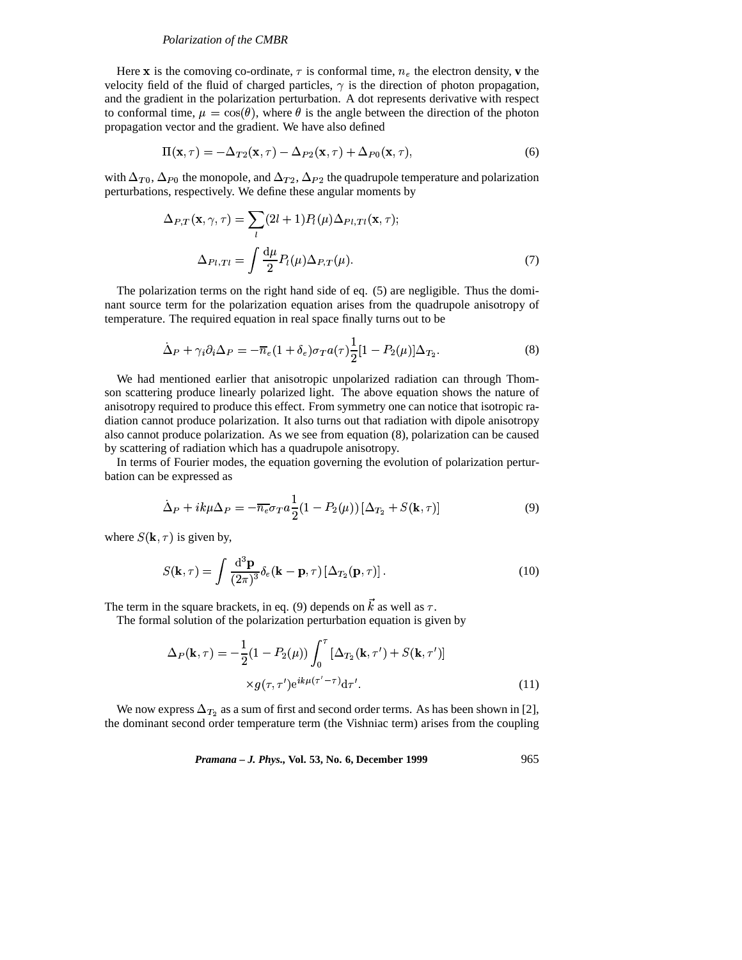#### *Polarization of the CMBR*

Here **x** is the comoving co-ordinate,  $\tau$  is conformal time,  $n_e$  the electron density, **v** the velocity field of the fluid of charged particles,  $\gamma$  is the direction of photon propagation, and the gradient in the polarization perturbation. A dot represents derivative with respect to conformal time,  $\mu = \cos(\theta)$ , where  $\theta$  is the angle between the direction of the photon propagation vector and the gradient. We have also defined

$$
\Pi(\mathbf{x},\tau) = -\Delta_{T2}(\mathbf{x},\tau) - \Delta_{P2}(\mathbf{x},\tau) + \Delta_{P0}(\mathbf{x},\tau),
$$
\n(6)

with  $\Delta_{T_0}$ ,  $\Delta_{P_0}$  the monopole, and  $\Delta_{T_2}$ ,  $\Delta_{P_2}$  the quadrupole temperature and polarization perturbations, respectively. We define these angular moments by

$$
\Delta_{P,T}(\mathbf{x}, \gamma, \tau) = \sum_{l} (2l+1) P_l(\mu) \Delta_{Pl,Tl}(\mathbf{x}, \tau);
$$

$$
\Delta_{Pl,Tl} = \int \frac{d\mu}{2} P_l(\mu) \Delta_{P,T}(\mu).
$$
(7)

The polarization terms on the right hand side of eq. (5) are negligible. Thus the dominant source term for the polarization equation arises from the quadrupole anisotropy of temperature. The required equation in real space finally turns out to be

$$
\dot{\Delta}_P + \gamma_i \partial_i \Delta_P = -\overline{n}_e (1 + \delta_e) \sigma_T a(\tau) \frac{1}{2} [1 - P_2(\mu)] \Delta_{T_2}.
$$
\n(8)

We had mentioned earlier that anisotropic unpolarized radiation can through Thomson scattering produce linearly polarized light. The above equation shows the nature of anisotropy required to produce this effect. From symmetry one can notice that isotropic radiation cannot produce polarization. It also turns out that radiation with dipole anisotropy also cannot produce polarization. As we see from equation (8), polarization can be caused by scattering of radiation which has a quadrupole anisotropy.

In terms of Fourier modes, the equation governing the evolution of polarization perturbation can be expressed as

$$
\dot{\Delta}_P + ik\mu \Delta_P = -\overline{n_e} \sigma_T a \frac{1}{2} (1 - P_2(\mu)) [\Delta_{T_2} + S(\mathbf{k}, \tau)] \tag{9}
$$

where  $S(\mathbf{k}, \tau)$  is given by,

$$
S(\mathbf{k},\tau) = \int \frac{\mathrm{d}^3 \mathbf{p}}{(2\pi)^3} \delta_e(\mathbf{k}-\mathbf{p},\tau) \left[\Delta_{T_2}(\mathbf{p},\tau)\right]. \tag{10}
$$

The term in the square brackets, in eq. (9) depends on  $\vec{k}$  as well as  $\tau$ .

The formal solution of the polarization perturbation equation is given by

$$
\Delta_P(\mathbf{k}, \tau) = -\frac{1}{2} (1 - P_2(\mu)) \int_0^{\tau} \left[ \Delta_{T_2}(\mathbf{k}, \tau') + S(\mathbf{k}, \tau') \right] \times g(\tau, \tau') e^{i k \mu (\tau' - \tau)} d\tau'.
$$
\n(11)

We now express  $\Delta_{T_2}$  as a sum of first and second order terms. As has been shown in [2], the dominant second order temperature term (the Vishniac term) arises from the coupling

*Pramana – J. Phys.,* **Vol. 53, No. 6, December 1999** 965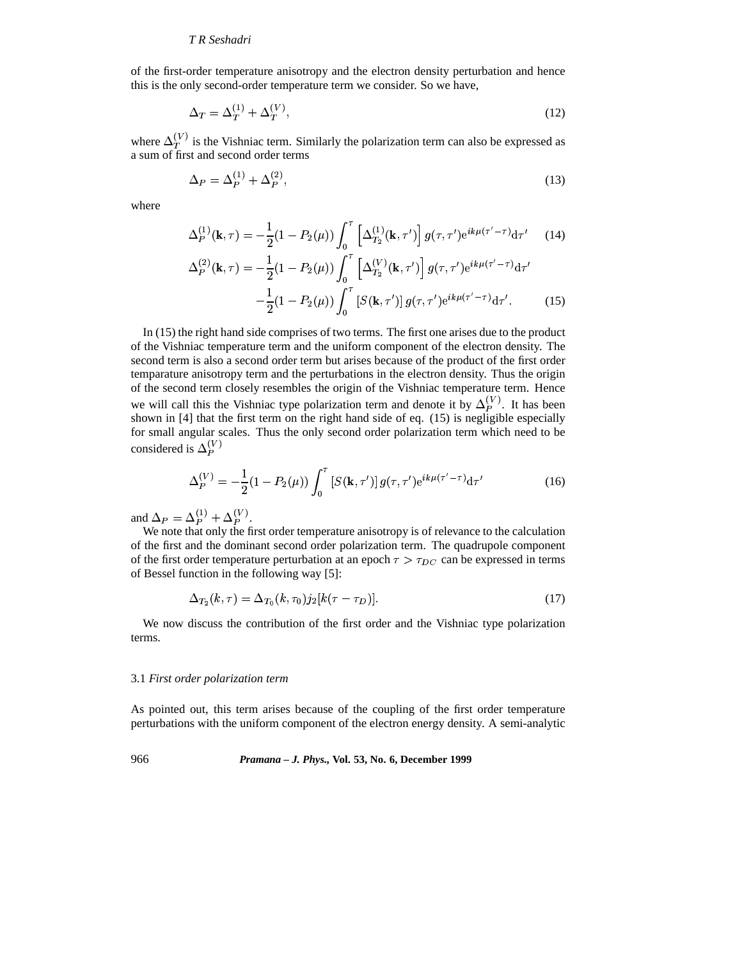#### *T R Seshadri*

of the first-order temperature anisotropy and the electron density perturbation and hence this is the only second-order temperature term we consider. So we have,

$$
\Delta_T = \Delta_T^{(1)} + \Delta_T^{(V)},\tag{12}
$$

where  $\Delta_T^{(V)}$  is the Vishniac term. Similarly the polarization term can also be expressed as a sum of first and second order terms

$$
\Delta_P = \Delta_P^{(1)} + \Delta_P^{(2)},\tag{13}
$$

where

$$
\Delta_P^{(1)}(\mathbf{k}, \tau) = -\frac{1}{2} (1 - P_2(\mu)) \int_0^{\tau} \left[ \Delta_{T_2}^{(1)}(\mathbf{k}, \tau') \right] g(\tau, \tau') e^{ik\mu(\tau' - \tau)} d\tau' \tag{14}
$$

$$
\Delta_P^{(2)}(\mathbf{k}, \tau) = -\frac{1}{2} (1 - P_2(\mu)) \int_0^{\tau} \left[ \Delta_{T_2}^{(V)}(\mathbf{k}, \tau') \right] g(\tau, \tau') e^{ik\mu(\tau' - \tau)} d\tau' \n- \frac{1}{2} (1 - P_2(\mu)) \int_0^{\tau} \left[ S(\mathbf{k}, \tau') \right] g(\tau, \tau') e^{ik\mu(\tau' - \tau)} d\tau'. \tag{15}
$$

In (15) the right hand side comprises of two terms. The first one arises due to the product of the Vishniac temperature term and the uniform component of the electron density. The second term is also a second order term but arises because of the product of the first order temparature anisotropy term and the perturbations in the electron density. Thus the origin of the second term closely resembles the origin of the Vishniac temperature term. Hence we will call this the Vishniac type polarization term and denote it by  $\Delta_P^{\langle V \rangle}$ . It has been shown in [4] that the first term on the right hand side of eq. (15) is negligible especially for small angular scales. Thus the only second order polarization term which need to be considered is  $\Delta_P^{(V)}$ 

$$
\Delta_P^{(V)} = -\frac{1}{2}(1 - P_2(\mu)) \int_0^\tau \left[ S(\mathbf{k}, \tau') \right] g(\tau, \tau') e^{ik\mu(\tau' - \tau)} d\tau'
$$
(16)

and  $\Delta_P = \Delta_P^{(1)} + \Delta_P^{(V)}$ .

 $\Delta P = \Delta P + \Delta P$ .<br>We note that only the first order temperature anisotropy is of relevance to the calculation of the first and the dominant second order polarization term. The quadrupole component of the first order temperature perturbation at an epoch  $\tau > \tau_{DC}$  can be expressed in terms of Bessel function in the following way [5]:

$$
\Delta_{T_2}(k,\tau) = \Delta_{T_0}(k,\tau_0) j_2[k(\tau - \tau_D)]. \tag{17}
$$

We now discuss the contribution of the first order and the Vishniac type polarization terms.

#### 3.1 *First order polarization term*

As pointed out, this term arises because of the coupling of the first order temperature perturbations with the uniform component of the electron energy density. A semi-analytic

966 *Pramana – J. Phys.,* **Vol. 53, No. 6, December 1999**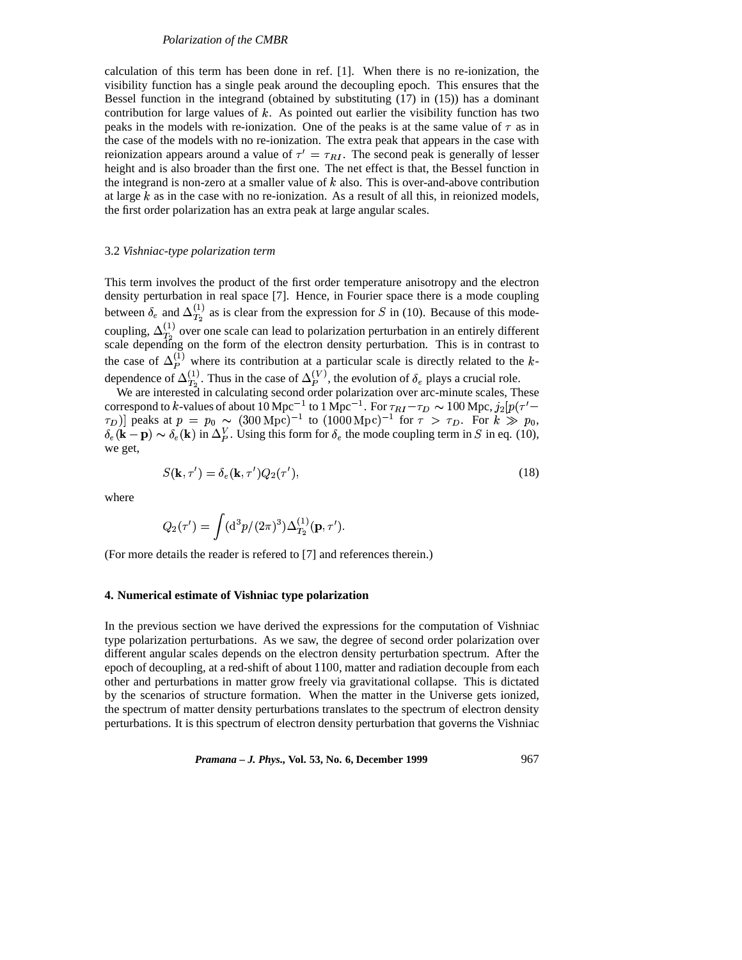#### *Polarization of the CMBR*

calculation of this term has been done in ref. [1]. When there is no re-ionization, the visibility function has a single peak around the decoupling epoch. This ensures that the Bessel function in the integrand (obtained by substituting (17) in (15)) has a dominant contribution for large values of  $k$ . As pointed out earlier the visibility function has two peaks in the models with re-ionization. One of the peaks is at the same value of  $\tau$  as in the case of the models with no re-ionization. The extra peak that appears in the case with reionization appears around a value of  $\tau' = \tau_{RI}$ . The second peak is generally of lesser height and is also broader than the first one. The net effect is that, the Bessel function in the integrand is non-zero at a smaller value of  $k$  also. This is over-and-above contribution at large  $k$  as in the case with no re-ionization. As a result of all this, in reionized models, the first order polarization has an extra peak at large angular scales.

#### 3.2 *Vishniac-type polarization term*

This term involves the product of the first order temperature anisotropy and the electron density perturbation in real space [7]. Hence, in Fourier space there is a mode coupling between  $\delta_e$  and  $\Delta_{T_2}^{(1)}$  as is clear from the expression for S in (10). Because of this modecoupling,  $\Delta_{T_2}^{(1)}$  over one scale can lead to polarization perturbation in an entirely different scale depending on the form of the electron density perturbation. This is in contrast to the case of  $\Delta_P^{(1)}$  where its contribution at a particular scale is directly related to the kdependence of  $\Delta_{T_2}^{(1)}$ . Thus in the case of  $\Delta_P^{(V)}$ , the evolution of  $\delta_e$  plays a crucial role.

We are interested in calculating second order polarization over arc-minute scales, These correspond to k-values of about  $10 \text{ Mpc}^{-1}$  to  $1 \text{ Mpc}^{-1}$ . For  $\tau_{RI} - \tau_D \sim 100 \text{ Mpc}$ ,  $j_2 [p(\tau'-\tau)]$  $(\tau_D)$  peaks at  $p = p_0 \sim (300 \text{ Mpc})^{-1}$  to  $(1000 \text{ Mpc})^{-1}$  for  $\tau > \tau_D$ . For  $k \gg p_0$ , . . . . . . . . \-- r/ -\\-r  $p = p_0 \approx (300 \text{ Mpc})$  to  $(1000 \text{ Mpc})$  for  $\gamma > r_D$ . For  $\kappa \gg p_0$ ,<br>  $e(\mathbf{k})$  in  $\Delta_P^V$ . Using this form for  $\delta_e$  the mode coupling term in S in eq. (10), we get,

$$
S(\mathbf{k}, \tau') = \delta_e(\mathbf{k}, \tau') Q_2(\tau'), \tag{18}
$$

where

$$
Q_2(\tau') = \int (\mathrm{d}^3 p/(2\pi)^3) \Delta_{T_2}^{(1)}(\mathbf{p},\tau').
$$

(For more details the reader is refered to [7] and references therein.)

### **4. Numerical estimate of Vishniac type polarization**

In the previous section we have derived the expressions for the computation of Vishniac type polarization perturbations. As we saw, the degree of second order polarization over different angular scales depends on the electron density perturbation spectrum. After the epoch of decoupling, at a red-shift of about 1100, matter and radiation decouple from each other and perturbations in matter grow freely via gravitational collapse. This is dictated by the scenarios of structure formation. When the matter in the Universe gets ionized, the spectrum of matter density perturbations translates to the spectrum of electron density perturbations. It is this spectrum of electron density perturbation that governs the Vishniac

*Pramana – J. Phys.,* **Vol. 53, No. 6, December 1999** 967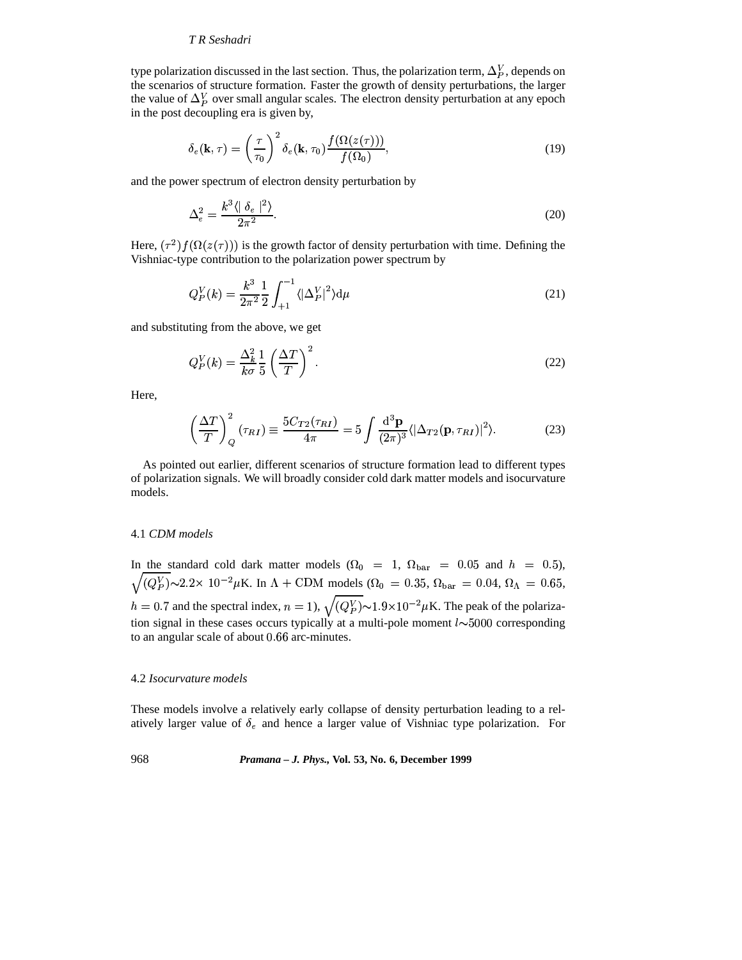## *T R Seshadri*

type polarization discussed in the last section. Thus, the polarization term,  $\Delta_p^V$ , depends on the scenarios of structure formation. Faster the growth of density perturbations, the larger the value of  $\Delta_p^V$  over small angular scales. The electron density perturbation at any epoch in the post decoupling era is given by,

$$
\delta_e(\mathbf{k}, \tau) = \left(\frac{\tau}{\tau_0}\right)^2 \delta_e(\mathbf{k}, \tau_0) \frac{f(\Omega(z(\tau)))}{f(\Omega_0)},
$$
\n(19)

and the power spectrum of electron density perturbation by

$$
\Delta_e^2 = \frac{k^3 \langle |\delta_e|^2 \rangle}{2\pi^2}.
$$
\n(20)

Here,  $(\tau^2) f(\Omega(z(\tau)))$  is the growth factor of density perturbation with time. Defining the Vishniac-type contribution to the polarization power spectrum by

$$
Q_P^V(k) = \frac{k^3}{2\pi^2} \frac{1}{2} \int_{+1}^{-1} \langle |\Delta_P^V|^2 \rangle d\mu \tag{21}
$$

and substituting from the above, we get

$$
Q_P^V(k) = \frac{\Delta_k^2}{k\sigma} \frac{1}{5} \left(\frac{\Delta T}{T}\right)^2.
$$
 (22)

Here,

$$
\left(\frac{\Delta T}{T}\right)_Q^2 \left(\tau_{RI}\right) \equiv \frac{5C_{T2}(\tau_{RI})}{4\pi} = 5 \int \frac{\mathrm{d}^3 \mathbf{p}}{(2\pi)^3} \langle |\Delta_{T2}(\mathbf{p}, \tau_{RI})|^2 \rangle. \tag{23}
$$

As pointed out earlier, different scenarios of structure formation lead to different types of polarization signals. We will broadly consider cold dark matter models and isocurvature models.

## 4.1 *CDM models*

In the standard cold dark matter models ( $\Omega_0$  = 1,  $\Omega_{\text{bar}}$  = 0.05 and  $h$  = 0.5),  $\overline{\phantom{a}}$  $(Q_P^V) \sim 2.2 \times 10^{-2} \mu$ K. In  $\Lambda$  + CDM models ( $\Omega_0 = 0.35$ ,  $\Omega_{\text{bar}} = 0.04$ ,  $\Omega_{\Lambda} = 0.65$ ,  $h = 0.7$  and the spectral index,  $n = 1$ ),  $\sqrt{(Q_P^V)} \sim 1.9 \times 10^{-2} \mu$ K. The peak of the polarization signal in these cases occurs typically at a multi-pole moment  $l \sim 5000$  corresponding to an angular scale of about 0.66 arc-minutes.

## 4.2 *Isocurvature models*

These models involve a relatively early collapse of density perturbation leading to a relatively larger value of  $\delta_e$  and hence a larger value of Vishniac type polarization. For

968 *Pramana – J. Phys.,* **Vol. 53, No. 6, December 1999**